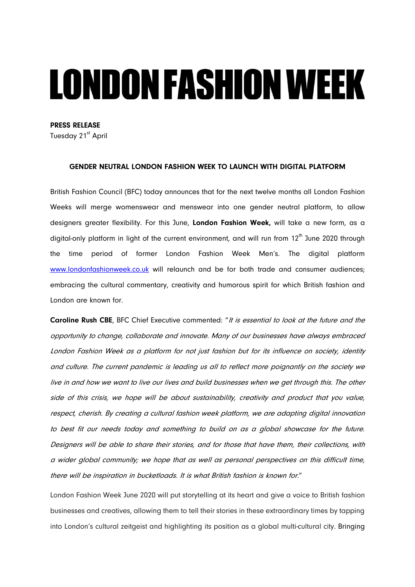# **LONDON FASHION WEEK**

PRESS RELEASE

Tuesday 21<sup>st</sup> April

# GENDER NEUTRAL LONDON FASHION WEEK TO LAUNCH WITH DIGITAL PLATFORM

British Fashion Council (BFC) today announces that for the next twelve months all London Fashion Weeks will merge womenswear and menswear into one gender neutral platform, to allow designers greater flexibility. For this June, London Fashion Week, will take a new form, as a digital-only platform in light of the current environment, and will run from  $12<sup>th</sup>$  June 2020 through the time period of former London Fashion Week Men's. The digital platform [www.londonfashionweek.co.uk](http://www.londonfashionweek.co.uk/) will relaunch and be for both trade and consumer audiences; embracing the cultural commentary, creativity and humorous spirit for which British fashion and London are known for.

Caroline Rush CBE, BFC Chief Executive commented: "It is essential to look at the future and the opportunity to change, collaborate and innovate. Many of our businesses have always embraced London Fashion Week as a platform for not just fashion but for its influence on society, identity and culture. The current pandemic is leading us all to reflect more poignantly on the society we live in and how we want to live our lives and build businesses when we get through this. The other side of this crisis, we hope will be about sustainability, creativity and product that you value, respect, cherish. By creating a cultural fashion week platform, we are adapting digital innovation to best fit our needs today and something to build on as a global showcase for the future. Designers will be able to share their stories, and for those that have them, their collections, with a wider global community; we hope that as well as personal perspectives on this difficult time, there will be inspiration in bucketloads. It is what British fashion is known for."

London Fashion Week June 2020 will put storytelling at its heart and give a voice to British fashion businesses and creatives, allowing them to tell their stories in these extraordinary times by tapping into London's cultural zeitgeist and highlighting its position as a global multi-cultural city. Bringing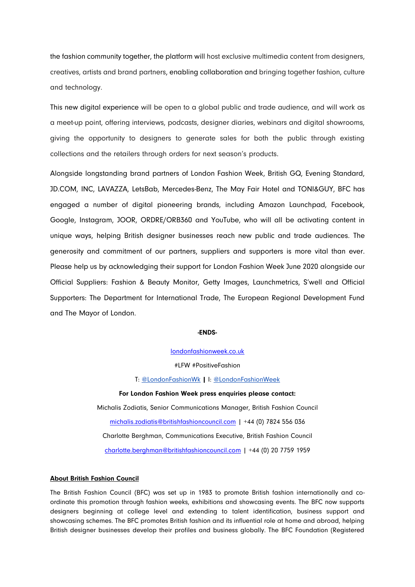the fashion community together, the platform will host exclusive multimedia content from designers, creatives, artists and brand partners, enabling collaboration and bringing together fashion, culture and technology.

This new digital experience will be open to a global public and trade audience, and will work as a meet-up point, offering interviews, podcasts, designer diaries, webinars and digital showrooms, giving the opportunity to designers to generate sales for both the public through existing collections and the retailers through orders for next season's products.

Alongside longstanding brand partners of London Fashion Week, British GQ, Evening Standard, JD.COM, INC, LAVAZZA, LetsBab, Mercedes-Benz, The May Fair Hotel and TONI&GUY, BFC has engaged a number of digital pioneering brands, including Amazon Launchpad, Facebook, Google, Instagram, JOOR, ORDRE/ORB360 and YouTube, who will all be activating content in unique ways, helping British designer businesses reach new public and trade audiences. The generosity and commitment of our partners, suppliers and supporters is more vital than ever. Please help us by acknowledging their support for London Fashion Week June 2020 alongside our Official Suppliers: Fashion & Beauty Monitor, Getty Images, Launchmetrics, S'well and Official Supporters: The Department for International Trade, The European Regional Development Fund and The Mayor of London.

### -ENDS-

[londonfashionweek.co.uk](https://londonfashionweek.co.uk/)

#LFW #PositiveFashion

T: [@LondonFashionWk](https://twitter.com/BFC) | I: [@LondonFashionWeek](file://///bfc-nas1/BFC%20Shared%20Data/Public%20Relations/London%20Fashion%20Week/12%20-%20Sept%202018/Press%20Releases/What)

For London Fashion Week press enquiries please contact: Michalis Zodiatis, Senior Communications Manager, British Fashion Council [michalis.zodiatis@britishfashioncouncil.com](mailto:michalis.zodiatis@britishfashioncouncil.com) | +44 (0) 7824 556 036 Charlotte Berghman, Communications Executive, British Fashion Council [charlotte.berghman@britishfashioncouncil.com](mailto:charlotte.berghman@britishfashioncouncil.com) | +44 (0) 20 7759 1959

# About British Fashion Council

The British Fashion Council (BFC) was set up in 1983 to promote British fashion internationally and coordinate this promotion through fashion weeks, exhibitions and showcasing events. The BFC now supports designers beginning at college level and extending to talent identification, business support and showcasing schemes. The BFC promotes British fashion and its influential role at home and abroad, helping British designer businesses develop their profiles and business globally. The BFC Foundation (Registered